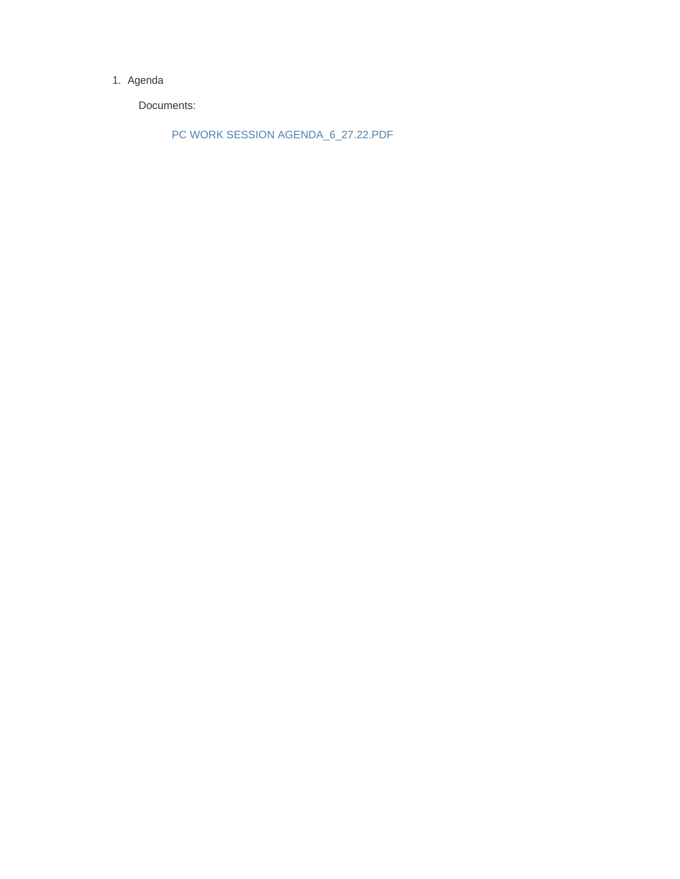## 1. Agenda

Documents:

PC WORK SESSION AGENDA\_6\_27.22.PDF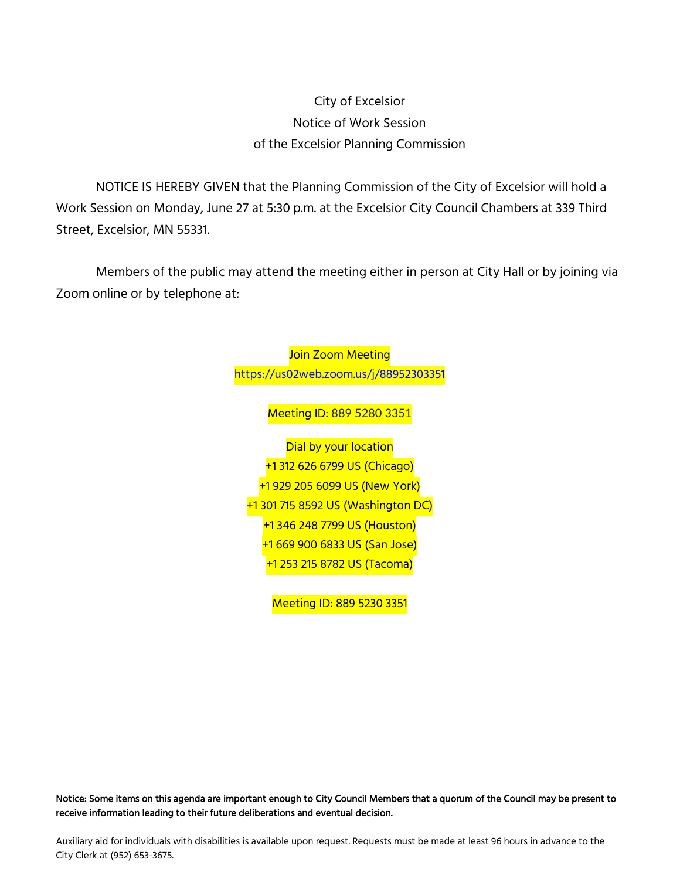## City of Excelsior Notice of Work Session of the Excelsior Planning Commission

NOTICE IS HEREBY GIVEN that the Planning Commission of the City of Excelsior will hold a Work Session on Monday, June 27 at 5:30 p.m. at the Excelsior City Council Chambers at 339 Third Street, Excelsior, MN 55331.

Members of the public may attend the meeting either in person at City Hall or by joining via Zoom online or by telephone at:

> Join Zoom Meeting [https://us02web.zoom.us/j/8](https://us02web.zoom.us/j/)8952303351 Meeting ID: 889 5280 3351 Dial by your location +1 312 626 6799 US (Chicago) +1 929 205 6099 US (New York) +1 301 715 8592 US (Washington DC) +1 346 248 7799 US (Houston) +1 669 900 6833 US (San Jose) +1 253 215 8782 US (Tacoma)

> > Meeting ID: 889 5230 3351

Notice: Some items on this agenda are important enough to City Council Members that a quorum of the Council may be present to receive information leading to their future deliberations and eventual decision.